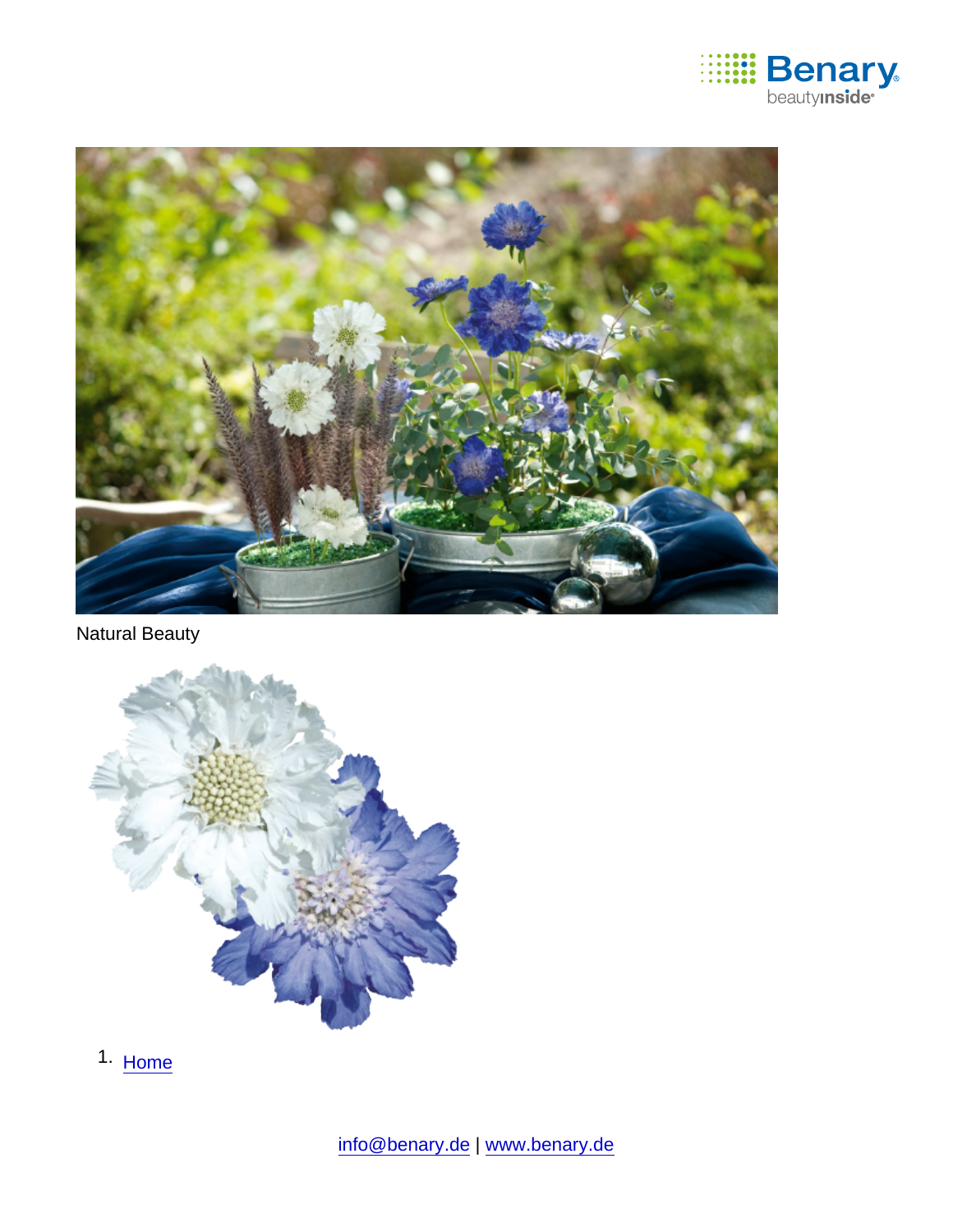

Natural Beauty

1. [Home](https://www.benary.com/)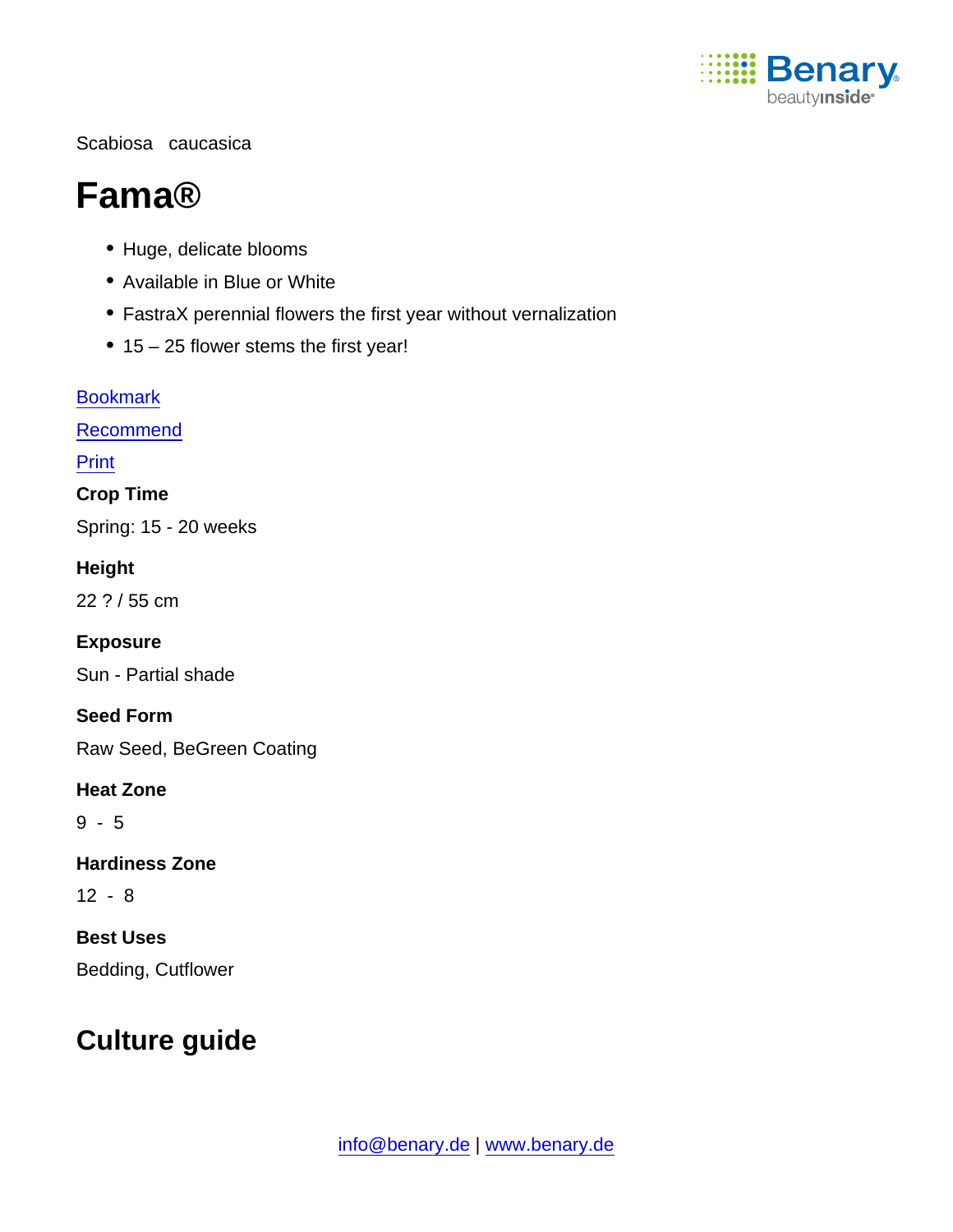

#### Scabiosa caucasica

# Fama®

- Huge, delicate blooms
- Available in Blue or White
- FastraX perennial flowers the first year without vernalization
- 15 25 flower stems the first year!

**[Bookmark](https://www.benary.com/flag/flag/product/6267?destination&token=oyOvM40JBHPSuLcjjpXHzmiMy9nF7CpNWsneFdKJYRs)** [Recommend](mailto:?subject=Benary Scabiosa caucasica &body=https://www.benary.com/print/pdf/node/6267) Print Crop Time Spring: 15 - 20 weeks **Height** 22 ? / 55 cm Exposure Sun - Partial shade Seed Form Raw Seed, BeGreen Coating Heat Zone 9 - 5 Hardiness Zone 12 - 8 Best Uses Bedding, Cutflower

## Culture guide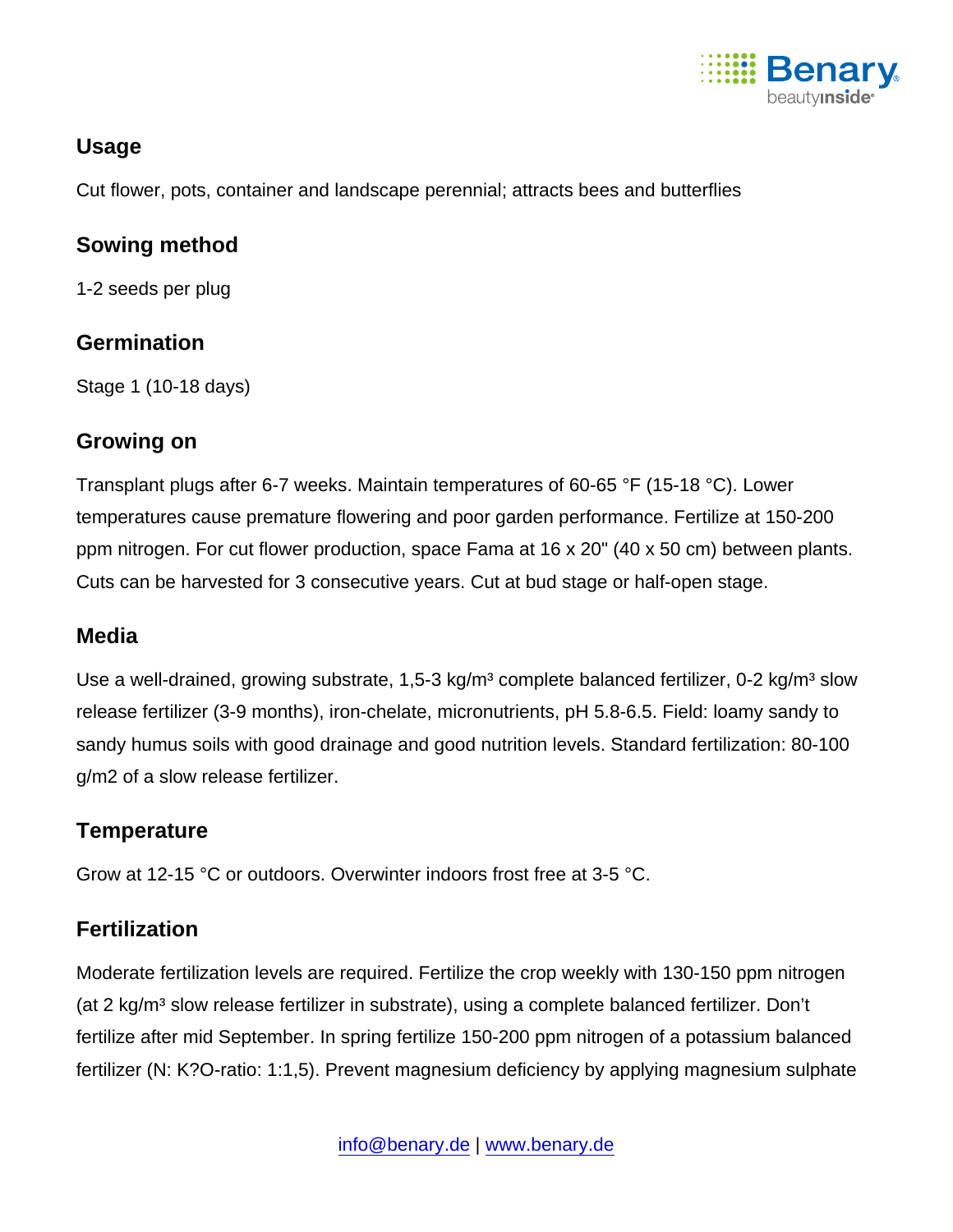

### Usage

Cut flower, pots, container and landscape perennial; attracts bees and butterflies

Sowing method

1-2 seeds per plug

#### **Germination**

Stage 1 (10-18 days)

#### Growing on

Transplant plugs after 6-7 weeks. Maintain temperatures of 60-65 °F (15-18 °C). Lower temperatures cause premature flowering and poor garden performance. Fertilize at 150-200 ppm nitrogen. For cut flower production, space Fama at 16 x 20" (40 x 50 cm) between plants. Cuts can be harvested for 3 consecutive years. Cut at bud stage or half-open stage.

#### **Media**

Use a well-drained, growing substrate, 1,5-3 kg/m<sup>3</sup> complete balanced fertilizer, 0-2 kg/m<sup>3</sup> slow release fertilizer (3-9 months), iron-chelate, micronutrients, pH 5.8-6.5. Field: loamy sandy to sandy humus soils with good drainage and good nutrition levels. Standard fertilization: 80-100 g/m2 of a slow release fertilizer.

#### **Temperature**

Grow at 12-15 °C or outdoors. Overwinter indoors frost free at 3-5 °C.

#### **Fertilization**

Moderate fertilization levels are required. Fertilize the crop weekly with 130-150 ppm nitrogen (at 2 kg/m<sup>3</sup> slow release fertilizer in substrate), using a complete balanced fertilizer. Don't fertilize after mid September. In spring fertilize 150-200 ppm nitrogen of a potassium balanced fertilizer (N: K?O-ratio: 1:1,5). Prevent magnesium deficiency by applying magnesium sulphate